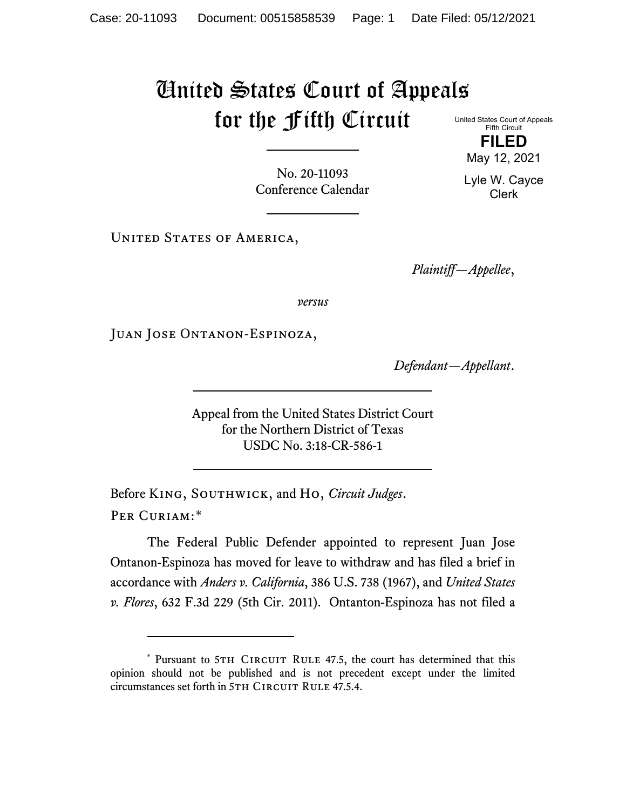## United States Court of Appeals for the Fifth Circuit United States Court of Appeals

Fifth Circuit **FILED**

No. 20-11093 Conference Calendar

UNITED STATES OF AMERICA,

*Plaintiff—Appellee*,

*versus*

Juan Jose Ontanon-Espinoza,

*Defendant—Appellant*.

Appeal from the United States District Court for the Northern District of Texas USDC No. 3:18-CR-586-1

Before King, Southwick, and Ho, *Circuit Judges*. Per Curiam:[\\*](#page-0-0)

The Federal Public Defender appointed to represent Juan Jose Ontanon-Espinoza has moved for leave to withdraw and has filed a brief in accordance with *Anders v. California*, 386 U.S. 738 (1967), and *United States v. Flores*, 632 F.3d 229 (5th Cir. 2011). Ontanton-Espinoza has not filed a

May 12, 2021 Lyle W. Cayce Clerk

<span id="page-0-0"></span><sup>\*</sup> Pursuant to 5TH CIRCUIT RULE 47.5, the court has determined that this opinion should not be published and is not precedent except under the limited circumstances set forth in 5TH CIRCUIT RULE 47.5.4.